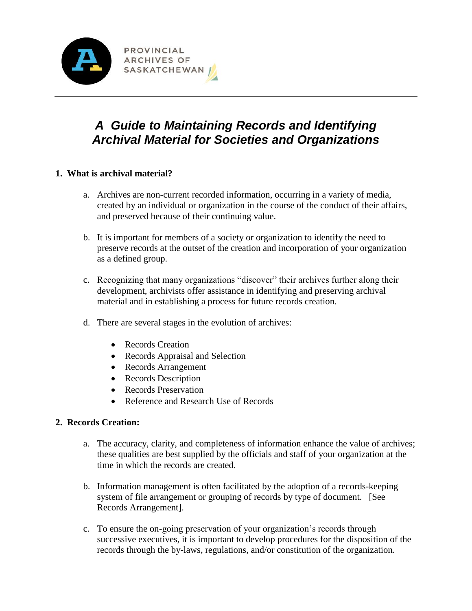

# *A Guide to Maintaining Records and Identifying Archival Material for Societies and Organizations*

# **1. What is archival material?**

- a. Archives are non-current recorded information, occurring in a variety of media, created by an individual or organization in the course of the conduct of their affairs, and preserved because of their continuing value.
- b. It is important for members of a society or organization to identify the need to preserve records at the outset of the creation and incorporation of your organization as a defined group.
- c. Recognizing that many organizations "discover" their archives further along their development, archivists offer assistance in identifying and preserving archival material and in establishing a process for future records creation.
- d. There are several stages in the evolution of archives:
	- Records Creation
	- Records Appraisal and Selection
	- Records Arrangement
	- Records Description
	- Records Preservation
	- Reference and Research Use of Records

# **2. Records Creation:**

- a. The accuracy, clarity, and completeness of information enhance the value of archives; these qualities are best supplied by the officials and staff of your organization at the time in which the records are created.
- b. Information management is often facilitated by the adoption of a records-keeping system of file arrangement or grouping of records by type of document. [See Records Arrangement].
- c. To ensure the on-going preservation of your organization's records through successive executives, it is important to develop procedures for the disposition of the records through the by-laws, regulations, and/or constitution of the organization.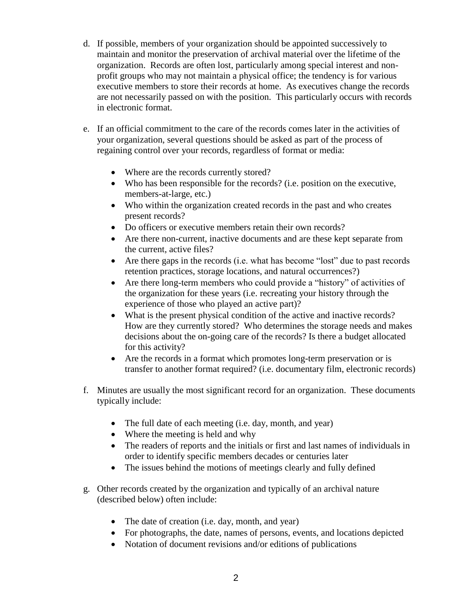- d. If possible, members of your organization should be appointed successively to maintain and monitor the preservation of archival material over the lifetime of the organization. Records are often lost, particularly among special interest and nonprofit groups who may not maintain a physical office; the tendency is for various executive members to store their records at home. As executives change the records are not necessarily passed on with the position. This particularly occurs with records in electronic format.
- e. If an official commitment to the care of the records comes later in the activities of your organization, several questions should be asked as part of the process of regaining control over your records, regardless of format or media:
	- Where are the records currently stored?
	- Who has been responsible for the records? (i.e. position on the executive, members-at-large, etc.)
	- Who within the organization created records in the past and who creates present records?
	- Do officers or executive members retain their own records?
	- Are there non-current, inactive documents and are these kept separate from the current, active files?
	- Are there gaps in the records (i.e. what has become "lost" due to past records retention practices, storage locations, and natural occurrences?)
	- Are there long-term members who could provide a "history" of activities of the organization for these years (i.e. recreating your history through the experience of those who played an active part)?
	- What is the present physical condition of the active and inactive records? How are they currently stored? Who determines the storage needs and makes decisions about the on-going care of the records? Is there a budget allocated for this activity?
	- Are the records in a format which promotes long-term preservation or is transfer to another format required? (i.e. documentary film, electronic records)
- f. Minutes are usually the most significant record for an organization. These documents typically include:
	- The full date of each meeting (i.e. day, month, and year)
	- Where the meeting is held and why
	- The readers of reports and the initials or first and last names of individuals in order to identify specific members decades or centuries later
	- The issues behind the motions of meetings clearly and fully defined
- g. Other records created by the organization and typically of an archival nature (described below) often include:
	- The date of creation (i.e. day, month, and year)
	- For photographs, the date, names of persons, events, and locations depicted
	- Notation of document revisions and/or editions of publications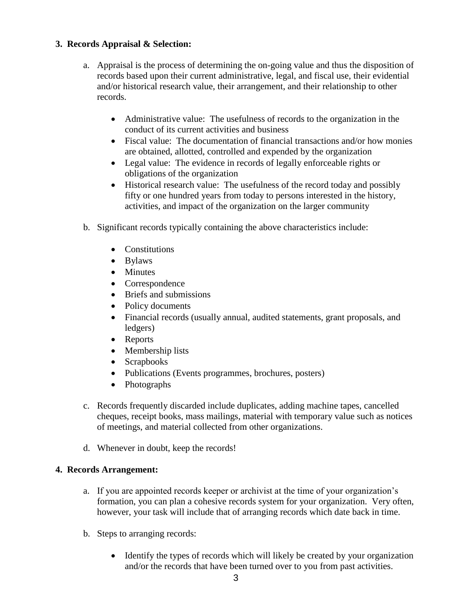# **3. Records Appraisal & Selection:**

- a. Appraisal is the process of determining the on-going value and thus the disposition of records based upon their current administrative, legal, and fiscal use, their evidential and/or historical research value, their arrangement, and their relationship to other records.
	- Administrative value: The usefulness of records to the organization in the conduct of its current activities and business
	- Fiscal value: The documentation of financial transactions and/or how monies are obtained, allotted, controlled and expended by the organization
	- Legal value: The evidence in records of legally enforceable rights or obligations of the organization
	- Historical research value: The usefulness of the record today and possibly fifty or one hundred years from today to persons interested in the history, activities, and impact of the organization on the larger community
- b. Significant records typically containing the above characteristics include:
	- Constitutions
	- Bylaws
	- Minutes
	- Correspondence
	- Briefs and submissions
	- Policy documents
	- Financial records (usually annual, audited statements, grant proposals, and ledgers)
	- Reports
	- Membership lists
	- Scrapbooks
	- Publications (Events programmes, brochures, posters)
	- Photographs
- c. Records frequently discarded include duplicates, adding machine tapes, cancelled cheques, receipt books, mass mailings, material with temporary value such as notices of meetings, and material collected from other organizations.
- d. Whenever in doubt, keep the records!

## **4. Records Arrangement:**

- a. If you are appointed records keeper or archivist at the time of your organization's formation, you can plan a cohesive records system for your organization. Very often, however, your task will include that of arranging records which date back in time.
- b. Steps to arranging records:
	- Identify the types of records which will likely be created by your organization and/or the records that have been turned over to you from past activities.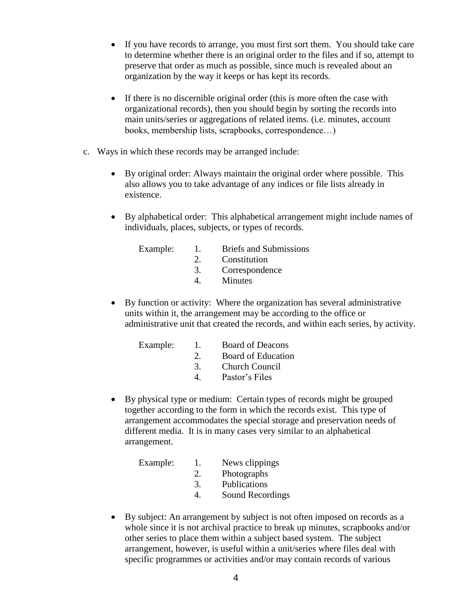- If you have records to arrange, you must first sort them. You should take care to determine whether there is an original order to the files and if so, attempt to preserve that order as much as possible, since much is revealed about an organization by the way it keeps or has kept its records.
- If there is no discernible original order (this is more often the case with organizational records), then you should begin by sorting the records into main units/series or aggregations of related items. (i.e. minutes, account books, membership lists, scrapbooks, correspondence…)
- c. Ways in which these records may be arranged include:
	- By original order: Always maintain the original order where possible. This also allows you to take advantage of any indices or file lists already in existence.
	- By alphabetical order: This alphabetical arrangement might include names of individuals, places, subjects, or types of records.

| $\overline{1}$ .                | <b>Briefs and Submissions</b> |
|---------------------------------|-------------------------------|
| $\mathcal{D}$ and $\mathcal{D}$ | Constitution                  |
| 3.                              | Correspondence                |
| 4                               | Minutes                       |
|                                 |                               |

 By function or activity: Where the organization has several administrative units within it, the arrangement may be according to the office or administrative unit that created the records, and within each series, by activity.

| Example: | 1.            | <b>Board of Deacons</b> |
|----------|---------------|-------------------------|
|          | $\mathcal{D}$ | Board of Education      |
|          | -3.           | <b>Church Council</b>   |
|          |               | יוד י ח                 |

- 4. Pastor's Files
- By physical type or medium: Certain types of records might be grouped together according to the form in which the records exist. This type of arrangement accommodates the special storage and preservation needs of different media. It is in many cases very similar to an alphabetical arrangement.

| Example: | Ι.          | News clippings   |
|----------|-------------|------------------|
|          | $2_{\cdot}$ | Photographs      |
|          | 3.          | Publications     |
|          |             | Sound Recordings |

 By subject: An arrangement by subject is not often imposed on records as a whole since it is not archival practice to break up minutes, scrapbooks and/or other series to place them within a subject based system. The subject arrangement, however, is useful within a unit/series where files deal with specific programmes or activities and/or may contain records of various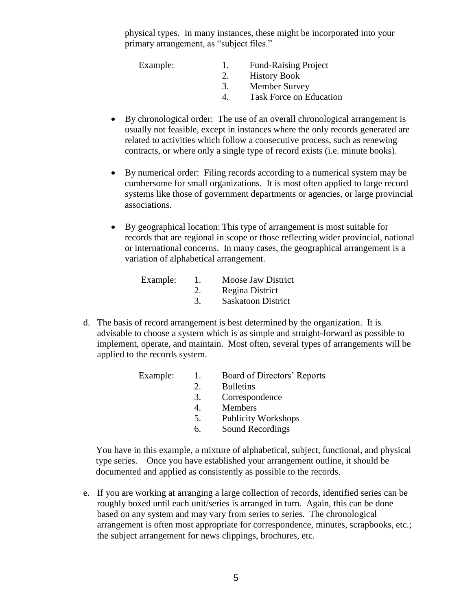physical types. In many instances, these might be incorporated into your primary arrangement, as "subject files."

| Example: | <b>Fund-Raising Project</b>    |
|----------|--------------------------------|
|          | <b>History Book</b>            |
|          | <b>Member Survey</b>           |
|          | <b>Task Force on Education</b> |

- By chronological order: The use of an overall chronological arrangement is usually not feasible, except in instances where the only records generated are related to activities which follow a consecutive process, such as renewing contracts, or where only a single type of record exists (i.e. minute books).
- By numerical order: Filing records according to a numerical system may be cumbersome for small organizations. It is most often applied to large record systems like those of government departments or agencies, or large provincial associations.
- By geographical location: This type of arrangement is most suitable for records that are regional in scope or those reflecting wider provincial, national or international concerns. In many cases, the geographical arrangement is a variation of alphabetical arrangement.

| Example: | Moose Jaw District        |
|----------|---------------------------|
|          | Regina District           |
|          | <b>Saskatoon District</b> |

d. The basis of record arrangement is best determined by the organization. It is advisable to choose a system which is as simple and straight-forward as possible to implement, operate, and maintain. Most often, several types of arrangements will be applied to the records system.

| Example: | Π. | Board of Directors' Reports |
|----------|----|-----------------------------|
|          | 2. | <b>Bulletins</b>            |
|          | 3. | Correspondence              |
|          | 4. | <b>Members</b>              |
|          | 5. | <b>Publicity Workshops</b>  |
|          | 6. | Sound Recordings            |
|          |    |                             |

You have in this example, a mixture of alphabetical, subject, functional, and physical type series. Once you have established your arrangement outline, it should be documented and applied as consistently as possible to the records.

e. If you are working at arranging a large collection of records, identified series can be roughly boxed until each unit/series is arranged in turn. Again, this can be done based on any system and may vary from series to series. The chronological arrangement is often most appropriate for correspondence, minutes, scrapbooks, etc.; the subject arrangement for news clippings, brochures, etc.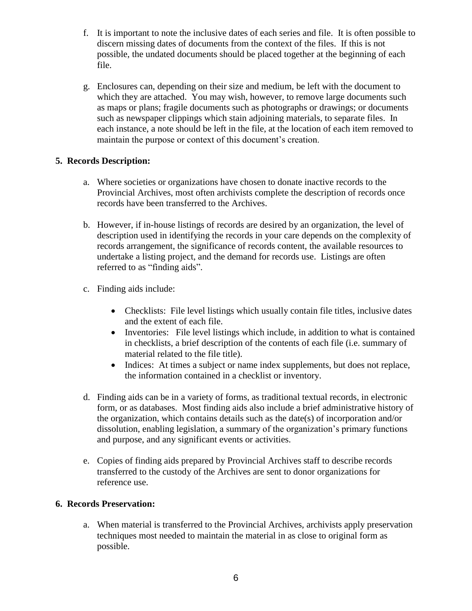- f. It is important to note the inclusive dates of each series and file. It is often possible to discern missing dates of documents from the context of the files. If this is not possible, the undated documents should be placed together at the beginning of each file.
- g. Enclosures can, depending on their size and medium, be left with the document to which they are attached. You may wish, however, to remove large documents such as maps or plans; fragile documents such as photographs or drawings; or documents such as newspaper clippings which stain adjoining materials, to separate files. In each instance, a note should be left in the file, at the location of each item removed to maintain the purpose or context of this document's creation.

# **5. Records Description:**

- a. Where societies or organizations have chosen to donate inactive records to the Provincial Archives, most often archivists complete the description of records once records have been transferred to the Archives.
- b. However, if in-house listings of records are desired by an organization, the level of description used in identifying the records in your care depends on the complexity of records arrangement, the significance of records content, the available resources to undertake a listing project, and the demand for records use. Listings are often referred to as "finding aids".
- c. Finding aids include:
	- Checklists: File level listings which usually contain file titles, inclusive dates and the extent of each file.
	- Inventories: File level listings which include, in addition to what is contained in checklists, a brief description of the contents of each file (i.e. summary of material related to the file title).
	- Indices: At times a subject or name index supplements, but does not replace, the information contained in a checklist or inventory.
- d. Finding aids can be in a variety of forms, as traditional textual records, in electronic form, or as databases. Most finding aids also include a brief administrative history of the organization, which contains details such as the date(s) of incorporation and/or dissolution, enabling legislation, a summary of the organization's primary functions and purpose, and any significant events or activities.
- e. Copies of finding aids prepared by Provincial Archives staff to describe records transferred to the custody of the Archives are sent to donor organizations for reference use.

# **6. Records Preservation:**

a. When material is transferred to the Provincial Archives, archivists apply preservation techniques most needed to maintain the material in as close to original form as possible.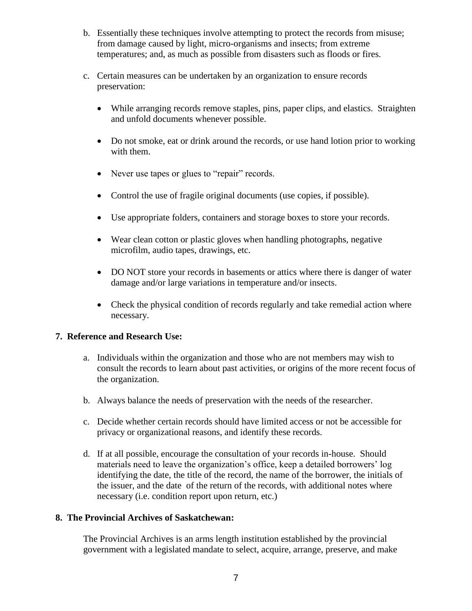- b. Essentially these techniques involve attempting to protect the records from misuse; from damage caused by light, micro-organisms and insects; from extreme temperatures; and, as much as possible from disasters such as floods or fires.
- c. Certain measures can be undertaken by an organization to ensure records preservation:
	- While arranging records remove staples, pins, paper clips, and elastics. Straighten and unfold documents whenever possible.
	- Do not smoke, eat or drink around the records, or use hand lotion prior to working with them.
	- Never use tapes or glues to "repair" records.
	- Control the use of fragile original documents (use copies, if possible).
	- Use appropriate folders, containers and storage boxes to store your records.
	- Wear clean cotton or plastic gloves when handling photographs, negative microfilm, audio tapes, drawings, etc.
	- DO NOT store your records in basements or attics where there is danger of water damage and/or large variations in temperature and/or insects.
	- Check the physical condition of records regularly and take remedial action where necessary.

## **7. Reference and Research Use:**

- a. Individuals within the organization and those who are not members may wish to consult the records to learn about past activities, or origins of the more recent focus of the organization.
- b. Always balance the needs of preservation with the needs of the researcher.
- c. Decide whether certain records should have limited access or not be accessible for privacy or organizational reasons, and identify these records.
- d. If at all possible, encourage the consultation of your records in-house. Should materials need to leave the organization's office, keep a detailed borrowers' log identifying the date, the title of the record, the name of the borrower, the initials of the issuer, and the date of the return of the records, with additional notes where necessary (i.e. condition report upon return, etc.)

# **8. The Provincial Archives of Saskatchewan:**

The Provincial Archives is an arms length institution established by the provincial government with a legislated mandate to select, acquire, arrange, preserve, and make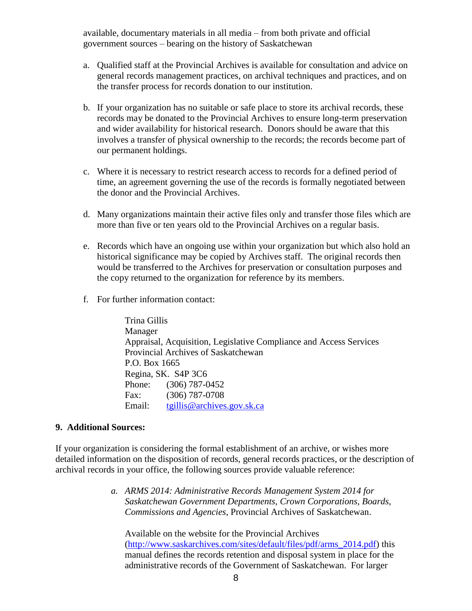government sources – bearing on the history of Saskatchewan available, documentary materials in all media – from both private and official

- a. Qualified staff at the Provincial Archives is available for consultation and advice on general records management practices, on archival techniques and practices, and on the transfer process for records donation to our institution.
- b. If your organization has no suitable or safe place to store its archival records, these records may be donated to the Provincial Archives to ensure long-term preservation and wider availability for historical research. Donors should be aware that this involves a transfer of physical ownership to the records; the records become part of our permanent holdings.
- the donor and the Provincial Archives. c. Where it is necessary to restrict research access to records for a defined period of time, an agreement governing the use of the records is formally negotiated between
- more than five or ten years old to the Provincial Archives on a regular basis. d. Many organizations maintain their active files only and transfer those files which are
- e. Records which have an ongoing use within your organization but which also hold an historical significance may be copied by Archives staff. The original records then would be transferred to the Archives for preservation or consultation purposes and the copy returned to the organization for reference by its members.
- f. For further information contact:

 Regina, SK. S4P 3C6Phone: (306) 787-0452 Fax: (306) 787-0708 Email: tgillis@archives.gov.sk.ca Trina Gillis Manager Appraisal, Acquisition, Legislative Compliance and Access Services Provincial Archives of Saskatchewan P.O. Box 1665

## **9. Additional Sources:**

If your organization is considering the formal establishment of an archive, or wishes more detailed information on the disposition of records, general records practices, or the description of archival records in your office, the following sources provide valuable reference:

> *a. ARMS 2014: Administrative Records Management System 2014 for Saskatchewan Government Departments, Crown Corporations, Boards, Commissions and Agencies*, Provincial Archives of Saskatchewan.

Available on the website for the Provincial Archives [\(http://www.saskarchives.com/sites/default/files/pdf/arms\\_2014.pdf\)](http://www.saskarchives.com/sites/default/files/pdf/arms_2014.pdf) this manual defines the records retention and disposal system in place for the administrative records of the Government of Saskatchewan. For larger